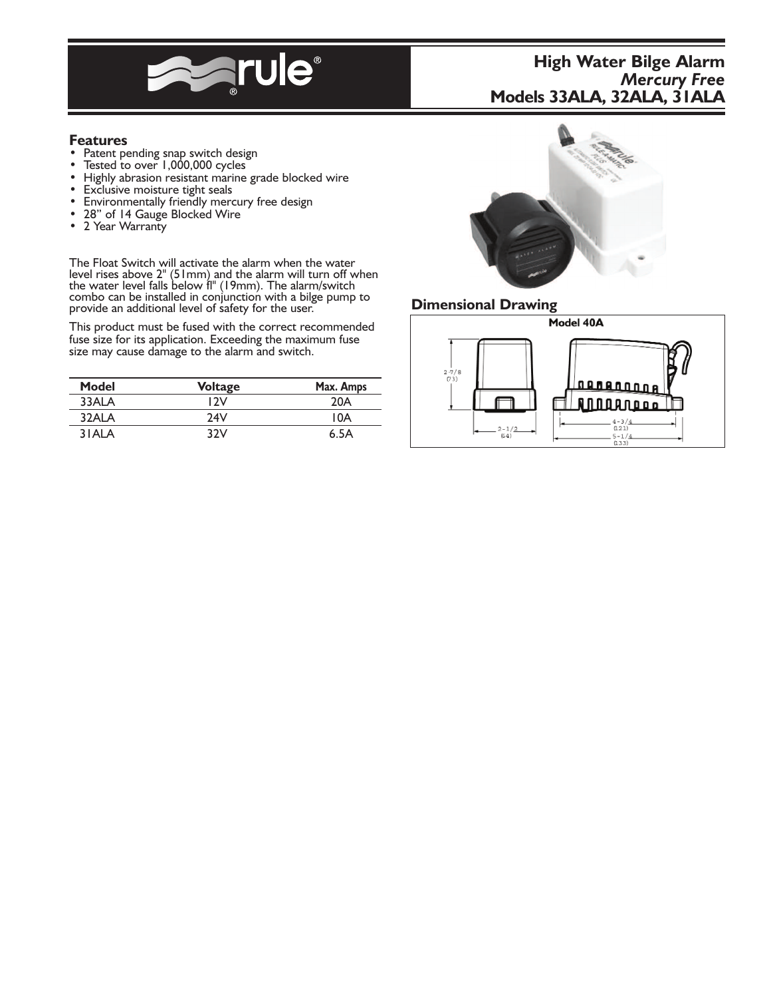

# **High Water Bilge Alarm** *Mercury Free* **Models 33ALA, 32ALA, 31ALA**

- 
- 
- **Features**<br>
 Patent pending snap switch design<br>
 Tested to over 1,000,000 cycles<br>
 Highly abrasion resistant marine grade blocked wire<br>
 Exclusive moisture tight seals<br>
 Environmentally friendly mercury free design<br>
•
- 
- 
- 
- 

The Float Switch will activate the alarm when the water level rises above 2" (51mm) and the alarm will turn off when the water level falls below fl" (19mm). The alarm/switch combo can be installed in conjunction with a bilge pump to provide an additional level of safety for the user.

This product must be fused with the correct recommended fuse size for its application. Exceeding the maximum fuse size may cause damage to the alarm and switch.

| Model | <b>Voltage</b> | Max. Amps |
|-------|----------------|-----------|
| 33ALA | 12V            | 20A       |
| 32ALA | 24V            | 10A       |
| 3 ALA | 32V            | 6.5A      |



## **Dimensional Drawing**